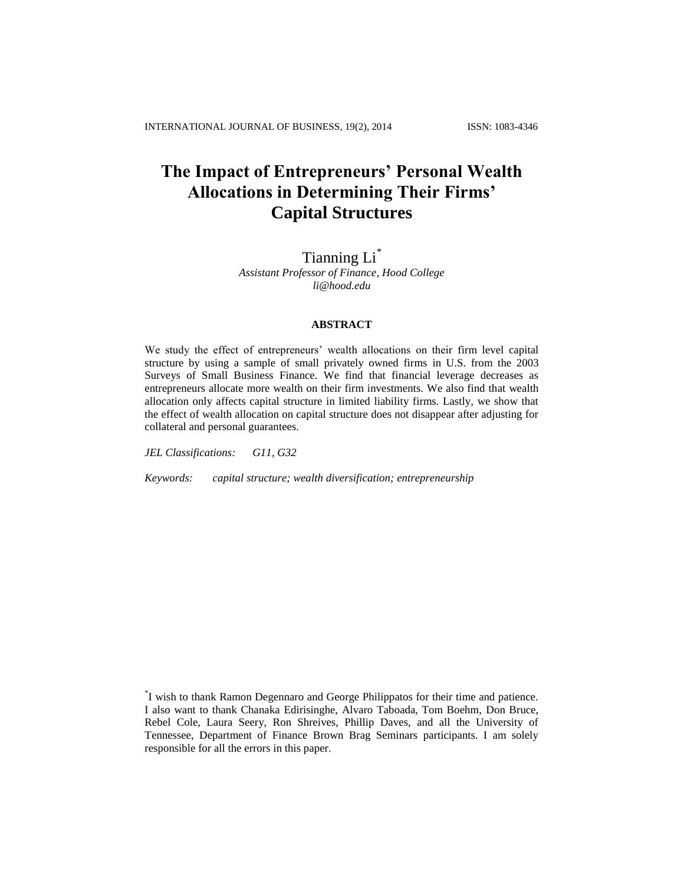# **The Impact of Entrepreneurs' Personal Wealth Allocations in Determining Their Firms' Capital Structures**

# Tianning Li\*

*Assistant Professor of Finance, Hood College li@hood.edu*

#### **ABSTRACT**

We study the effect of entrepreneurs' wealth allocations on their firm level capital structure by using a sample of small privately owned firms in U.S. from the 2003 Surveys of Small Business Finance. We find that financial leverage decreases as entrepreneurs allocate more wealth on their firm investments. We also find that wealth allocation only affects capital structure in limited liability firms. Lastly, we show that the effect of wealth allocation on capital structure does not disappear after adjusting for collateral and personal guarantees.

*JEL Classifications: G11, G32*

*Keywords: capital structure; wealth diversification; entrepreneurship*

<sup>\*</sup> I wish to thank Ramon Degennaro and George Philippatos for their time and patience. I also want to thank Chanaka Edirisinghe, Alvaro Taboada, Tom Boehm, Don Bruce, Rebel Cole, Laura Seery, Ron Shreives, Phillip Daves, and all the University of Tennessee, Department of Finance Brown Brag Seminars participants. I am solely responsible for all the errors in this paper.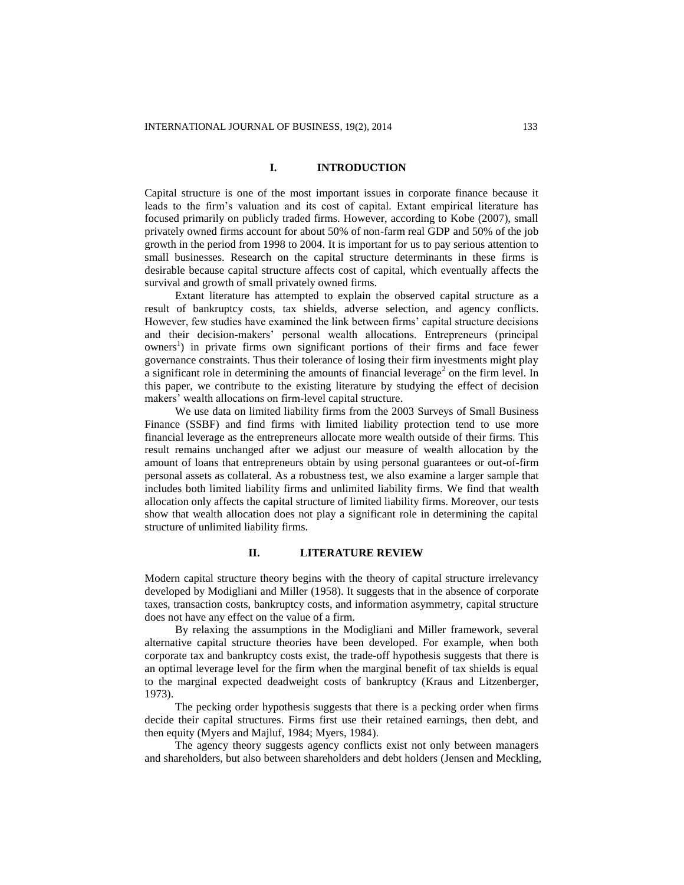# **I. INTRODUCTION**

Capital structure is one of the most important issues in corporate finance because it leads to the firm's valuation and its cost of capital. Extant empirical literature has focused primarily on publicly traded firms. However, according to Kobe (2007), small privately owned firms account for about 50% of non-farm real GDP and 50% of the job growth in the period from 1998 to 2004. It is important for us to pay serious attention to small businesses. Research on the capital structure determinants in these firms is desirable because capital structure affects cost of capital, which eventually affects the survival and growth of small privately owned firms.

Extant literature has attempted to explain the observed capital structure as a result of bankruptcy costs, tax shields, adverse selection, and agency conflicts. However, few studies have examined the link between firms' capital structure decisions and their decision-makers' personal wealth allocations. Entrepreneurs (principal owners<sup>1</sup>) in private firms own significant portions of their firms and face fewer governance constraints. Thus their tolerance of losing their firm investments might play a significant role in determining the amounts of financial leverage<sup>2</sup> on the firm level. In this paper, we contribute to the existing literature by studying the effect of decision makers' wealth allocations on firm-level capital structure.

We use data on limited liability firms from the 2003 Surveys of Small Business Finance (SSBF) and find firms with limited liability protection tend to use more financial leverage as the entrepreneurs allocate more wealth outside of their firms. This result remains unchanged after we adjust our measure of wealth allocation by the amount of loans that entrepreneurs obtain by using personal guarantees or out-of-firm personal assets as collateral. As a robustness test, we also examine a larger sample that includes both limited liability firms and unlimited liability firms. We find that wealth allocation only affects the capital structure of limited liability firms. Moreover, our tests show that wealth allocation does not play a significant role in determining the capital structure of unlimited liability firms.

# **II. LITERATURE REVIEW**

Modern capital structure theory begins with the theory of capital structure irrelevancy developed by Modigliani and Miller (1958). It suggests that in the absence of corporate taxes, transaction costs, bankruptcy costs, and information asymmetry, capital structure does not have any effect on the value of a firm.

By relaxing the assumptions in the Modigliani and Miller framework, several alternative capital structure theories have been developed. For example, when both corporate tax and bankruptcy costs exist, the trade-off hypothesis suggests that there is an optimal leverage level for the firm when the marginal benefit of tax shields is equal to the marginal expected deadweight costs of bankruptcy (Kraus and Litzenberger, 1973).

The pecking order hypothesis suggests that there is a pecking order when firms decide their capital structures. Firms first use their retained earnings, then debt, and then equity (Myers and Majluf, 1984; Myers, 1984).

The agency theory suggests agency conflicts exist not only between managers and shareholders, but also between shareholders and debt holders (Jensen and Meckling,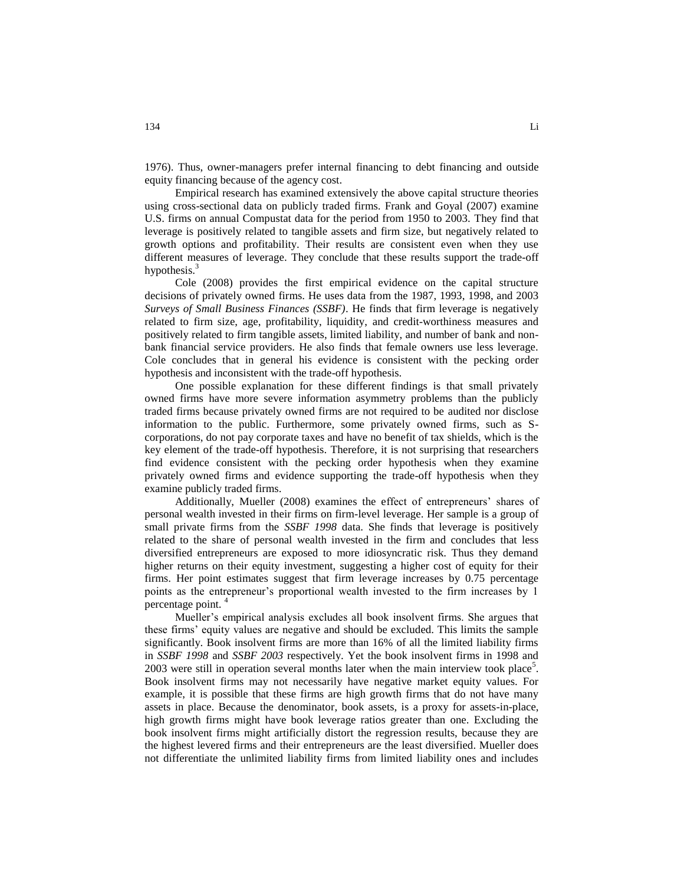1976). Thus, owner-managers prefer internal financing to debt financing and outside equity financing because of the agency cost.

Empirical research has examined extensively the above capital structure theories using cross-sectional data on publicly traded firms. Frank and Goyal (2007) examine U.S. firms on annual Compustat data for the period from 1950 to 2003. They find that leverage is positively related to tangible assets and firm size, but negatively related to growth options and profitability. Their results are consistent even when they use different measures of leverage. They conclude that these results support the trade-off hypothesis.<sup>3</sup>

Cole (2008) provides the first empirical evidence on the capital structure decisions of privately owned firms. He uses data from the 1987, 1993, 1998, and 2003 *Surveys of Small Business Finances (SSBF)*. He finds that firm leverage is negatively related to firm size, age, profitability, liquidity, and credit-worthiness measures and positively related to firm tangible assets, limited liability, and number of bank and nonbank financial service providers. He also finds that female owners use less leverage. Cole concludes that in general his evidence is consistent with the pecking order hypothesis and inconsistent with the trade-off hypothesis.

One possible explanation for these different findings is that small privately owned firms have more severe information asymmetry problems than the publicly traded firms because privately owned firms are not required to be audited nor disclose information to the public. Furthermore, some privately owned firms, such as Scorporations, do not pay corporate taxes and have no benefit of tax shields, which is the key element of the trade-off hypothesis. Therefore, it is not surprising that researchers find evidence consistent with the pecking order hypothesis when they examine privately owned firms and evidence supporting the trade-off hypothesis when they examine publicly traded firms.

Additionally, Mueller (2008) examines the effect of entrepreneurs' shares of personal wealth invested in their firms on firm-level leverage. Her sample is a group of small private firms from the *SSBF 1998* data. She finds that leverage is positively related to the share of personal wealth invested in the firm and concludes that less diversified entrepreneurs are exposed to more idiosyncratic risk. Thus they demand higher returns on their equity investment, suggesting a higher cost of equity for their firms. Her point estimates suggest that firm leverage increases by 0.75 percentage points as the entrepreneur's proportional wealth invested to the firm increases by 1 percentage point. <sup>4</sup>

Mueller's empirical analysis excludes all book insolvent firms. She argues that these firms' equity values are negative and should be excluded. This limits the sample significantly. Book insolvent firms are more than 16% of all the limited liability firms in *SSBF 1998* and *SSBF 2003* respectively. Yet the book insolvent firms in 1998 and 2003 were still in operation several months later when the main interview took place<sup>5</sup>. Book insolvent firms may not necessarily have negative market equity values. For example, it is possible that these firms are high growth firms that do not have many assets in place. Because the denominator, book assets, is a proxy for assets-in-place, high growth firms might have book leverage ratios greater than one. Excluding the book insolvent firms might artificially distort the regression results, because they are the highest levered firms and their entrepreneurs are the least diversified. Mueller does not differentiate the unlimited liability firms from limited liability ones and includes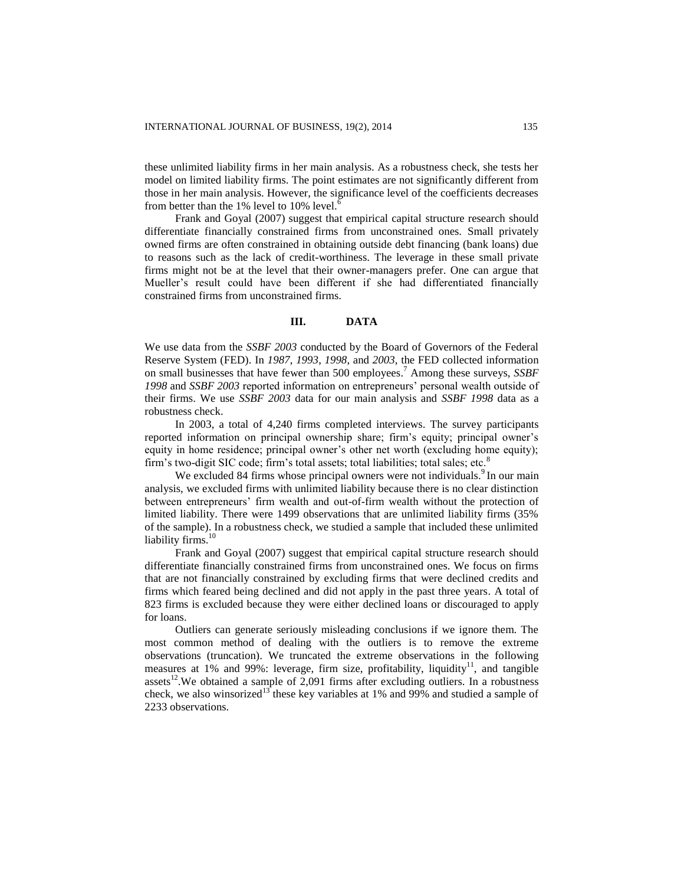these unlimited liability firms in her main analysis. As a robustness check, she tests her model on limited liability firms. The point estimates are not significantly different from those in her main analysis. However, the significance level of the coefficients decreases from better than the 1% level to 10% level.<sup>6</sup>

Frank and Goyal (2007) suggest that empirical capital structure research should differentiate financially constrained firms from unconstrained ones. Small privately owned firms are often constrained in obtaining outside debt financing (bank loans) due to reasons such as the lack of credit-worthiness. The leverage in these small private firms might not be at the level that their owner-managers prefer. One can argue that Mueller's result could have been different if she had differentiated financially constrained firms from unconstrained firms.

#### **III. DATA**

We use data from the *SSBF 2003* conducted by the Board of Governors of the Federal Reserve System (FED). In *1987*, *1993*, *1998*, and *2003*, the FED collected information on small businesses that have fewer than 500 employees. <sup>7</sup> Among these surveys, *SSBF 1998* and *SSBF 2003* reported information on entrepreneurs' personal wealth outside of their firms. We use *SSBF 2003* data for our main analysis and *SSBF 1998* data as a robustness check.

In 2003, a total of 4,240 firms completed interviews. The survey participants reported information on principal ownership share; firm's equity; principal owner's equity in home residence; principal owner's other net worth (excluding home equity); firm's two-digit SIC code; firm's total assets; total liabilities; total sales; etc. $8$ 

We excluded 84 firms whose principal owners were not individuals.<sup>9</sup> In our main analysis, we excluded firms with unlimited liability because there is no clear distinction between entrepreneurs' firm wealth and out-of-firm wealth without the protection of limited liability. There were 1499 observations that are unlimited liability firms (35% of the sample). In a robustness check, we studied a sample that included these unlimited liability firms. $10$ 

Frank and Goyal (2007) suggest that empirical capital structure research should differentiate financially constrained firms from unconstrained ones. We focus on firms that are not financially constrained by excluding firms that were declined credits and firms which feared being declined and did not apply in the past three years. A total of 823 firms is excluded because they were either declined loans or discouraged to apply for loans.

Outliers can generate seriously misleading conclusions if we ignore them. The most common method of dealing with the outliers is to remove the extreme observations (truncation). We truncated the extreme observations in the following measures at  $1\%$  and  $99\%$ : leverage, firm size, profitability, liquidity<sup>11</sup>, and tangible assets<sup>12</sup>. We obtained a sample of 2,091 firms after excluding outliers. In a robustness check, we also winsorized<sup>13</sup> these key variables at 1% and 99% and studied a sample of 2233 observations.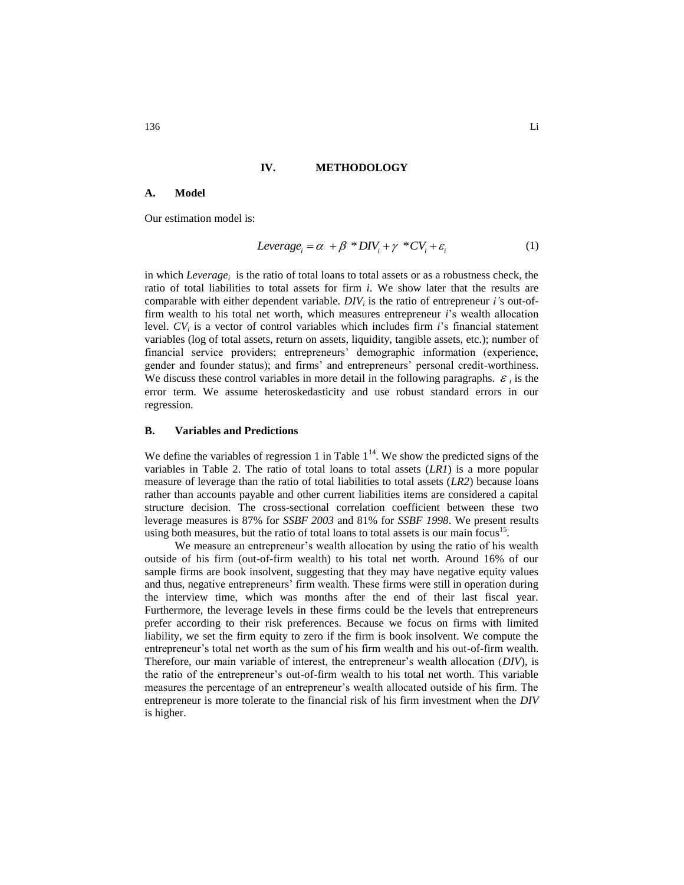#### **IV. METHODOLOGY**

#### **A. Model**

Our estimation model is:

$$
Leverage_i = \alpha + \beta * DIV_i + \gamma * CV_i + \varepsilon_i
$$
 (1)

in which *Leverage<sup>i</sup>* is the ratio of total loans to total assets or as a robustness check, the ratio of total liabilities to total assets for firm *i*. We show later that the results are comparable with either dependent variable. *DIV<sup>i</sup>* is the ratio of entrepreneur *i'*s out-offirm wealth to his total net worth, which measures entrepreneur *i*'s wealth allocation level. *CV<sup>i</sup>* is a vector of control variables which includes firm *i*'s financial statement variables (log of total assets, return on assets, liquidity, tangible assets, etc.); number of financial service providers; entrepreneurs' demographic information (experience, gender and founder status); and firms' and entrepreneurs' personal credit-worthiness. We discuss these control variables in more detail in the following paragraphs.  $\varepsilon_i$  is the error term. We assume heteroskedasticity and use robust standard errors in our regression.

#### **B. Variables and Predictions**

We define the variables of regression 1 in Table  $1<sup>14</sup>$ . We show the predicted signs of the variables in Table 2. The ratio of total loans to total assets (*LR1*) is a more popular measure of leverage than the ratio of total liabilities to total assets (*LR2*) because loans rather than accounts payable and other current liabilities items are considered a capital structure decision. The cross-sectional correlation coefficient between these two leverage measures is 87% for *SSBF 2003* and 81% for *SSBF 1998*. We present results using both measures, but the ratio of total loans to total assets is our main focus<sup>15</sup>.

We measure an entrepreneur's wealth allocation by using the ratio of his wealth outside of his firm (out-of-firm wealth) to his total net worth. Around 16% of our sample firms are book insolvent, suggesting that they may have negative equity values and thus, negative entrepreneurs' firm wealth. These firms were still in operation during the interview time, which was months after the end of their last fiscal year. Furthermore, the leverage levels in these firms could be the levels that entrepreneurs prefer according to their risk preferences. Because we focus on firms with limited liability, we set the firm equity to zero if the firm is book insolvent. We compute the entrepreneur's total net worth as the sum of his firm wealth and his out-of-firm wealth. Therefore, our main variable of interest, the entrepreneur's wealth allocation (*DIV*), is the ratio of the entrepreneur's out-of-firm wealth to his total net worth. This variable measures the percentage of an entrepreneur's wealth allocated outside of his firm. The entrepreneur is more tolerate to the financial risk of his firm investment when the *DIV* is higher.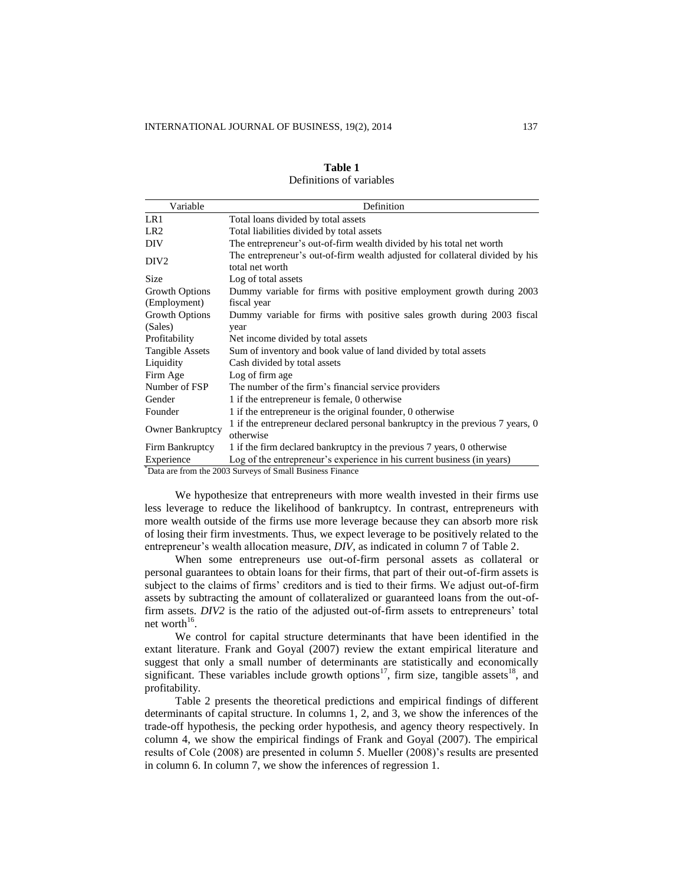| Variable                | Definition                                                                                      |
|-------------------------|-------------------------------------------------------------------------------------------------|
| LR1                     | Total loans divided by total assets                                                             |
| LR <sub>2</sub>         | Total liabilities divided by total assets                                                       |
| DIV                     | The entrepreneur's out-of-firm wealth divided by his total net worth                            |
| DIV <sub>2</sub>        | The entrepreneur's out-of-firm wealth adjusted for collateral divided by his<br>total net worth |
| <b>Size</b>             | Log of total assets                                                                             |
| Growth Options          | Dummy variable for firms with positive employment growth during 2003                            |
| (Employment)            | fiscal year                                                                                     |
| Growth Options          | Dummy variable for firms with positive sales growth during 2003 fiscal                          |
| (Sales)                 | year                                                                                            |
| Profitability           | Net income divided by total assets                                                              |
| Tangible Assets         | Sum of inventory and book value of land divided by total assets                                 |
| Liquidity               | Cash divided by total assets                                                                    |
| Firm Age                | Log of firm age                                                                                 |
| Number of FSP           | The number of the firm's financial service providers                                            |
| Gender                  | 1 if the entrepreneur is female, 0 otherwise                                                    |
| Founder                 | 1 if the entrepreneur is the original founder, 0 otherwise                                      |
| <b>Owner Bankruptcy</b> | 1 if the entrepreneur declared personal bankruptcy in the previous 7 years, 0<br>otherwise      |
| Firm Bankruptcy         | 1 if the firm declared bankruptcy in the previous 7 years, 0 otherwise                          |
| Experience              | Log of the entrepreneur's experience in his current business (in years)                         |

| Table 1                  |  |  |  |  |  |  |
|--------------------------|--|--|--|--|--|--|
| Definitions of variables |  |  |  |  |  |  |

We hypothesize that entrepreneurs with more wealth invested in their firms use less leverage to reduce the likelihood of bankruptcy. In contrast, entrepreneurs with more wealth outside of the firms use more leverage because they can absorb more risk of losing their firm investments. Thus, we expect leverage to be positively related to the entrepreneur's wealth allocation measure, *DIV*, as indicated in column 7 of Table 2.

When some entrepreneurs use out-of-firm personal assets as collateral or personal guarantees to obtain loans for their firms, that part of their out-of-firm assets is subject to the claims of firms' creditors and is tied to their firms. We adjust out-of-firm assets by subtracting the amount of collateralized or guaranteed loans from the out-offirm assets. *DIV2* is the ratio of the adjusted out-of-firm assets to entrepreneurs' total net worth $16$ .

We control for capital structure determinants that have been identified in the extant literature. Frank and Goyal (2007) review the extant empirical literature and suggest that only a small number of determinants are statistically and economically significant. These variables include growth options<sup>17</sup>, firm size, tangible assets<sup>18</sup>, and profitability.

Table 2 presents the theoretical predictions and empirical findings of different determinants of capital structure. In columns 1, 2, and 3, we show the inferences of the trade-off hypothesis, the pecking order hypothesis, and agency theory respectively. In column 4, we show the empirical findings of Frank and Goyal (2007). The empirical results of Cole (2008) are presented in column 5. Mueller (2008)'s results are presented in column 6. In column 7, we show the inferences of regression 1.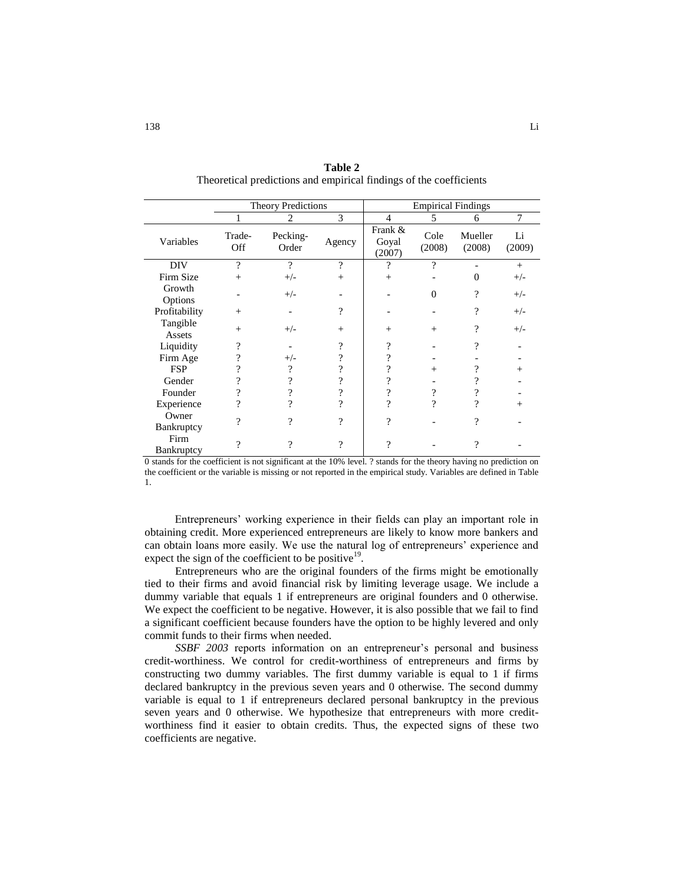|                     |               | <b>Theory Predictions</b> |               | <b>Empirical Findings</b>  |                |                   |              |
|---------------------|---------------|---------------------------|---------------|----------------------------|----------------|-------------------|--------------|
|                     |               | 2                         | 3             | 4                          | 5              | 6                 | $\tau$       |
| Variables           | Trade-<br>Off | Pecking-<br>Order         | Agency        | Frank &<br>Goyal<br>(2007) | Cole<br>(2008) | Mueller<br>(2008) | Li<br>(2009) |
| DIV                 | 9             | 9                         | $\mathcal{P}$ | 9                          | ?              |                   | $+$          |
| Firm Size           | $^{+}$        | $+/-$                     | $^{+}$        | $^{+}$                     |                | 0                 | $+/-$        |
| Growth<br>Options   |               | $+/-$                     |               |                            | 0              | $\gamma$          | $+/-$        |
| Profitability       | $^{+}$        |                           | ?             |                            |                | ?                 | $+/-$        |
| Tangible<br>Assets  | $^{+}$        | $+/-$                     | $^{+}$        | $+$                        | $^{+}$         | ?                 | $+/-$        |
| Liquidity           | 9             |                           | 9             | 9                          |                | 9                 |              |
| Firm Age            | 9             | $+/-$                     |               | 9                          |                |                   |              |
| <b>FSP</b>          |               | 9                         |               | 9                          | $^{+}$         |                   | $^{+}$       |
| Gender              | າ             | 9                         |               | 9                          |                |                   |              |
| Founder             | 9             |                           |               | 9                          | 9              |                   |              |
| Experience          | າ             | າ                         | ი             | 9                          | 9              | 9                 | $^{+}$       |
| Owner<br>Bankruptcy | 9             | 9                         | $\mathcal{D}$ | 9                          |                | 9                 |              |
| Firm<br>Bankruptcy  | 9             | 9                         | $\mathcal{P}$ | 9                          |                | 9                 |              |

**Table 2** Theoretical predictions and empirical findings of the coefficients

0 stands for the coefficient is not significant at the 10% level. ? stands for the theory having no prediction on the coefficient or the variable is missing or not reported in the empirical study. Variables are defined in Table 1.

Entrepreneurs' working experience in their fields can play an important role in obtaining credit. More experienced entrepreneurs are likely to know more bankers and can obtain loans more easily. We use the natural log of entrepreneurs' experience and expect the sign of the coefficient to be positive<sup>19</sup>.

Entrepreneurs who are the original founders of the firms might be emotionally tied to their firms and avoid financial risk by limiting leverage usage. We include a dummy variable that equals 1 if entrepreneurs are original founders and 0 otherwise. We expect the coefficient to be negative. However, it is also possible that we fail to find a significant coefficient because founders have the option to be highly levered and only commit funds to their firms when needed.

*SSBF 2003* reports information on an entrepreneur's personal and business credit-worthiness. We control for credit-worthiness of entrepreneurs and firms by constructing two dummy variables. The first dummy variable is equal to 1 if firms declared bankruptcy in the previous seven years and 0 otherwise. The second dummy variable is equal to 1 if entrepreneurs declared personal bankruptcy in the previous seven years and 0 otherwise. We hypothesize that entrepreneurs with more creditworthiness find it easier to obtain credits. Thus, the expected signs of these two coefficients are negative.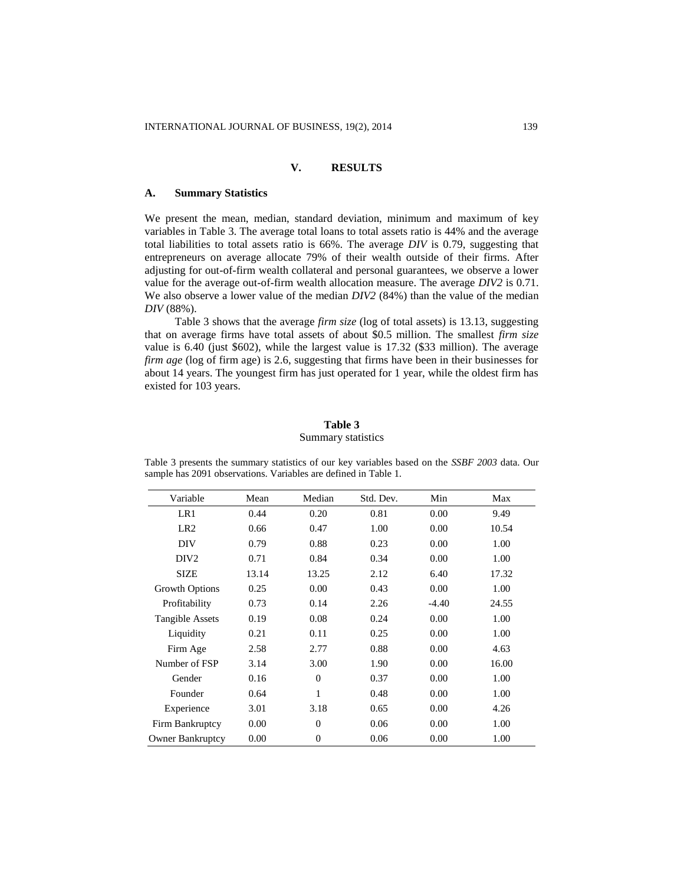# **V. RESULTS**

#### **A. Summary Statistics**

We present the mean, median, standard deviation, minimum and maximum of key variables in Table 3. The average total loans to total assets ratio is 44% and the average total liabilities to total assets ratio is 66%. The average *DIV* is 0.79, suggesting that entrepreneurs on average allocate 79% of their wealth outside of their firms. After adjusting for out-of-firm wealth collateral and personal guarantees, we observe a lower value for the average out-of-firm wealth allocation measure. The average *DIV2* is 0.71. We also observe a lower value of the median *DIV2* (84%) than the value of the median *DIV* (88%).

Table 3 shows that the average *firm size* (log of total assets) is 13.13, suggesting that on average firms have total assets of about \$0.5 million. The smallest *firm size* value is 6.40 (just \$602), while the largest value is 17.32 (\$33 million). The average *firm age* (log of firm age) is 2.6, suggesting that firms have been in their businesses for about 14 years. The youngest firm has just operated for 1 year, while the oldest firm has existed for 103 years.

## **Table 3** Summary statistics

| Variable                | Mean  | Median         | Std. Dev. | Min     | Max   |
|-------------------------|-------|----------------|-----------|---------|-------|
| LR1                     | 0.44  | 0.20           | 0.81      | 0.00    | 9.49  |
| LR <sub>2</sub>         | 0.66  | 0.47           | 1.00      | 0.00    | 10.54 |
| DIV                     | 0.79  | 0.88           | 0.23      | 0.00    | 1.00  |
| DIV <sub>2</sub>        | 0.71  | 0.84           | 0.34      | 0.00    | 1.00  |
| <b>SIZE</b>             | 13.14 | 13.25          | 2.12      | 6.40    | 17.32 |
| Growth Options          | 0.25  | 0.00           | 0.43      | 0.00    | 1.00  |
| Profitability           | 0.73  | 0.14           | 2.26      | $-4.40$ | 24.55 |
| <b>Tangible Assets</b>  | 0.19  | 0.08           | 0.24      | 0.00    | 1.00  |
| Liquidity               | 0.21  | 0.11           | 0.25      | 0.00    | 1.00  |
| Firm Age                | 2.58  | 2.77           | 0.88      | 0.00    | 4.63  |
| Number of FSP           | 3.14  | 3.00           | 1.90      | 0.00    | 16.00 |
| Gender                  | 0.16  | $\Omega$       | 0.37      | 0.00    | 1.00  |
| Founder                 | 0.64  | 1              | 0.48      | 0.00    | 1.00  |
| Experience              | 3.01  | 3.18           | 0.65      | 0.00    | 4.26  |
| Firm Bankruptcy         | 0.00  | $\overline{0}$ | 0.06      | 0.00    | 1.00  |
| <b>Owner Bankruptcy</b> | 0.00  | $\overline{0}$ | 0.06      | 0.00    | 1.00  |

Table 3 presents the summary statistics of our key variables based on the *SSBF 2003* data. Our sample has 2091 observations. Variables are defined in Table 1.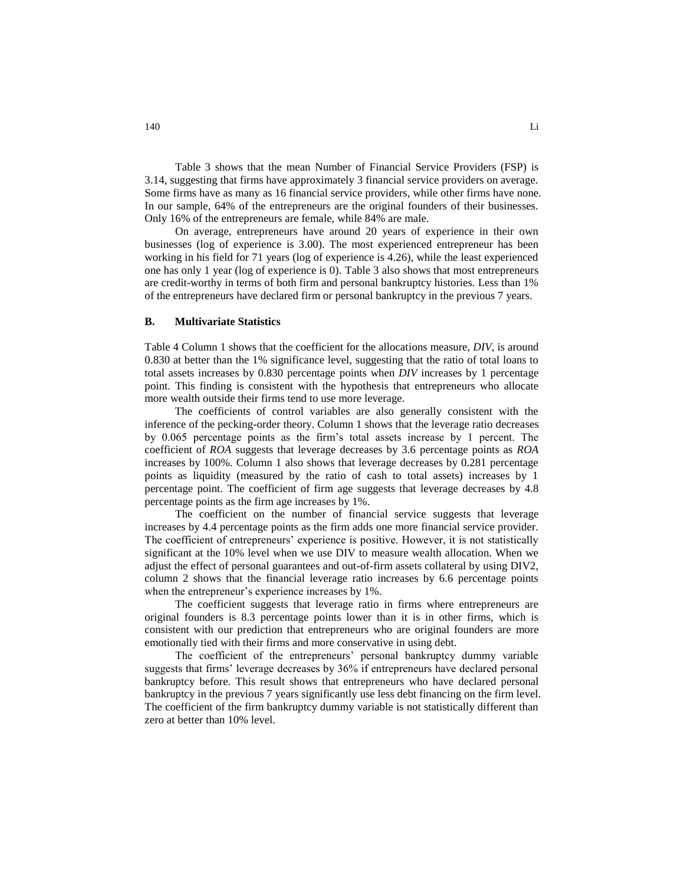Table 3 shows that the mean Number of Financial Service Providers (FSP) is 3.14, suggesting that firms have approximately 3 financial service providers on average. Some firms have as many as 16 financial service providers, while other firms have none. In our sample, 64% of the entrepreneurs are the original founders of their businesses. Only 16% of the entrepreneurs are female, while 84% are male.

On average, entrepreneurs have around 20 years of experience in their own businesses (log of experience is 3.00). The most experienced entrepreneur has been working in his field for 71 years (log of experience is 4.26), while the least experienced one has only 1 year (log of experience is 0). Table 3 also shows that most entrepreneurs are credit-worthy in terms of both firm and personal bankruptcy histories. Less than 1% of the entrepreneurs have declared firm or personal bankruptcy in the previous 7 years.

#### **B. Multivariate Statistics**

Table 4 Column 1 shows that the coefficient for the allocations measure, *DIV*, is around 0.830 at better than the 1% significance level, suggesting that the ratio of total loans to total assets increases by 0.830 percentage points when *DIV* increases by 1 percentage point. This finding is consistent with the hypothesis that entrepreneurs who allocate more wealth outside their firms tend to use more leverage.

The coefficients of control variables are also generally consistent with the inference of the pecking-order theory. Column 1 shows that the leverage ratio decreases by 0.065 percentage points as the firm's total assets increase by 1 percent. The coefficient of *ROA* suggests that leverage decreases by 3.6 percentage points as *ROA* increases by 100%. Column 1 also shows that leverage decreases by 0.281 percentage points as liquidity (measured by the ratio of cash to total assets) increases by 1 percentage point. The coefficient of firm age suggests that leverage decreases by 4.8 percentage points as the firm age increases by 1%.

The coefficient on the number of financial service suggests that leverage increases by 4.4 percentage points as the firm adds one more financial service provider. The coefficient of entrepreneurs' experience is positive. However, it is not statistically significant at the 10% level when we use DIV to measure wealth allocation. When we adjust the effect of personal guarantees and out-of-firm assets collateral by using DIV2, column 2 shows that the financial leverage ratio increases by 6.6 percentage points when the entrepreneur's experience increases by 1%.

The coefficient suggests that leverage ratio in firms where entrepreneurs are original founders is 8.3 percentage points lower than it is in other firms, which is consistent with our prediction that entrepreneurs who are original founders are more emotionally tied with their firms and more conservative in using debt.

The coefficient of the entrepreneurs' personal bankruptcy dummy variable suggests that firms' leverage decreases by 36% if entrepreneurs have declared personal bankruptcy before. This result shows that entrepreneurs who have declared personal bankruptcy in the previous 7 years significantly use less debt financing on the firm level. The coefficient of the firm bankruptcy dummy variable is not statistically different than zero at better than 10% level.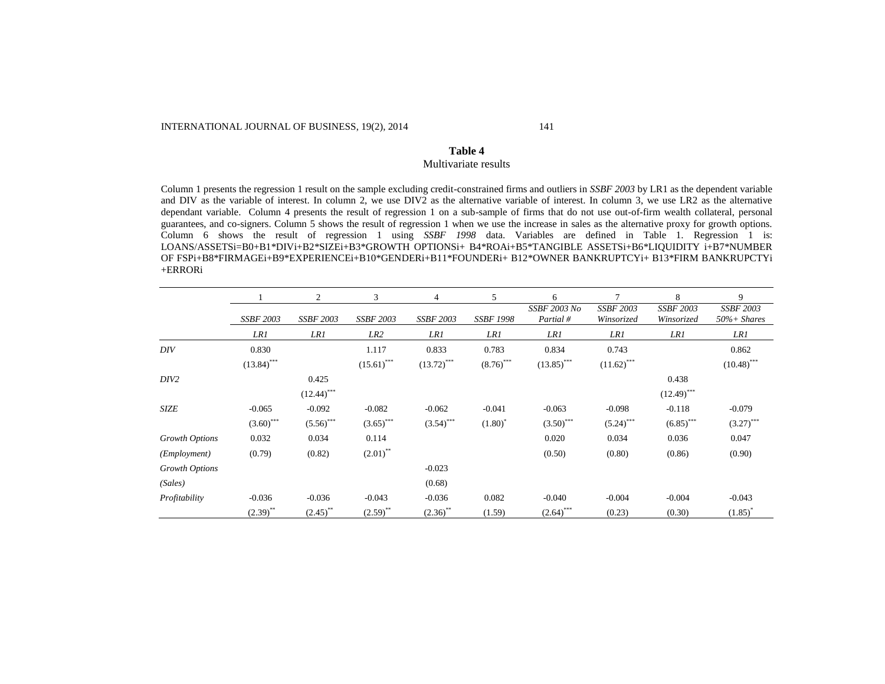#### **Table 4** Multivariate results

Column 1 presents the regression 1 result on the sample excluding credit-constrained firms and outliers in *SSBF 2003* by LR1 as the dependent variable and DIV as the variable of interest. In column 2, we use DIV2 as the alternative variable of interest. In column 3, we use LR2 as the alternative dependant variable. Column 4 presents the result of regression 1 on a sub-sample of firms that do not use out-of-firm wealth collateral, personal guarantees, and co-signers. Column 5 shows the result of regression 1 when we use the increase in sales as the alternative proxy for growth options. Column 6 shows the result of regression 1 using *SSBF 1998* data. Variables are defined in Table 1. Regression 1 is: LOANS/ASSETSi=B0+B1\*DIVi+B2\*SIZEi+B3\*GROWTH OPTIONSi+ B4\*ROAi+B5\*TANGIBLE ASSETSi+B6\*LIQUIDITY i+B7\*NUMBER OF FSPi+B8\*FIRMAGEi+B9\*EXPERIENCEi+B10\*GENDERi+B11\*FOUNDERi+ B12\*OWNER BANKRUPTCYi+ B13\*FIRM BANKRUPCTYi +ERRORi

|                       |                  | $\overline{c}$   | 3                | 4                | 5                | 6                        | 7                              | 8                              | 9                                   |
|-----------------------|------------------|------------------|------------------|------------------|------------------|--------------------------|--------------------------------|--------------------------------|-------------------------------------|
|                       | <b>SSBF 2003</b> | <b>SSBF 2003</b> | <b>SSBF 2003</b> | <b>SSBF 2003</b> | <b>SSBF 1998</b> | SSBF 2003 No<br>Partial# | <b>SSBF 2003</b><br>Winsorized | <b>SSBF 2003</b><br>Winsorized | <b>SSBF 2003</b><br>$50\%$ + Shares |
|                       | LR1              | LR1              | LR <sub>2</sub>  | LR1              | LR1              | LR1                      | LR1                            | LR1                            | LR1                                 |
| DIV                   | 0.830            |                  | 1.117            | 0.833            | 0.783            | 0.834                    | 0.743                          |                                | 0.862                               |
|                       | $(13.84)$ ***    |                  | $(15.61)$ ***    | $(13.72)$ ***    | $(8.76)$ ***     | $(13.85)$ ***            | $(11.62)$ <sup>***</sup>       |                                | $(10.48)$ ***                       |
| DIV2                  |                  | 0.425            |                  |                  |                  |                          |                                | 0.438                          |                                     |
|                       |                  | $(12.44)$ ***    |                  |                  |                  |                          |                                | $(12.49)$ ***                  |                                     |
| <b>SIZE</b>           | $-0.065$         | $-0.092$         | $-0.082$         | $-0.062$         | $-0.041$         | $-0.063$                 | $-0.098$                       | $-0.118$                       | $-0.079$                            |
|                       | $(3.60)$ ***     | $(5.56)$ ***     | $(3.65)$ ***     | $(3.54)$ ***     | $(1.80)^*$       | $(3.50)$ ***             | $(5.24)$ ***                   | $(6.85)$ ***                   | $(3.27)$ ***                        |
| Growth Options        | 0.032            | 0.034            | 0.114            |                  |                  | 0.020                    | 0.034                          | 0.036                          | 0.047                               |
| ( <i>Employment</i> ) | (0.79)           | (0.82)           | $(2.01)$ **      |                  |                  | (0.50)                   | (0.80)                         | (0.86)                         | (0.90)                              |
| Growth Options        |                  |                  |                  | $-0.023$         |                  |                          |                                |                                |                                     |
| (Sales)               |                  |                  |                  | (0.68)           |                  |                          |                                |                                |                                     |
| Profitability         | $-0.036$         | $-0.036$         | $-0.043$         | $-0.036$         | 0.082            | $-0.040$                 | $-0.004$                       | $-0.004$                       | $-0.043$                            |
|                       | $(2.39)$ **      | $(2.45)$ **      | $(2.59)$ **      | $(2.36)$ **      | (1.59)           | $(2.64)$ ***             | (0.23)                         | (0.30)                         | $(1.85)^{*}$                        |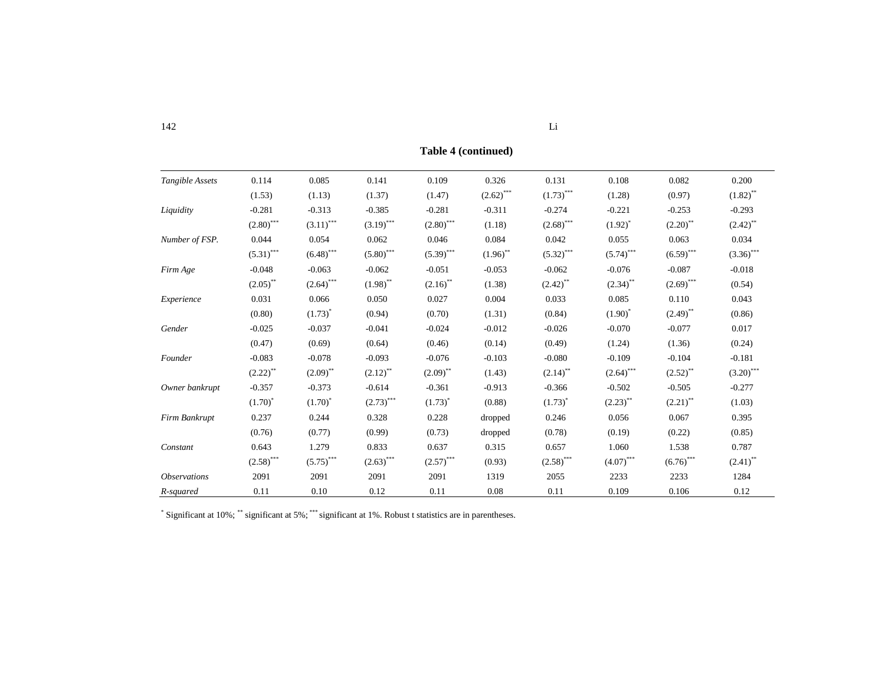|                            |                        |                           |              |                                         | $1400 \tau$ (continued) |              |              |              |                        |
|----------------------------|------------------------|---------------------------|--------------|-----------------------------------------|-------------------------|--------------|--------------|--------------|------------------------|
| Tangible Assets            | 0.114                  | 0.085                     | 0.141        | 0.109                                   | 0.326                   | 0.131        | 0.108        | 0.082        | 0.200                  |
|                            | (1.53)                 | (1.13)                    | (1.37)       | (1.47)                                  | $(2.62)$ ***            | $(1.73)$ *** | (1.28)       | (0.97)       | $(1.82)$ <sup>**</sup> |
| Liquidity                  | $-0.281$               | $-0.313$                  | $-0.385$     | $-0.281$                                | $-0.311$                | $-0.274$     | $-0.221$     | $-0.253$     | $-0.293$               |
|                            | $(2.80)$ ***           | $(3.11)$ ***              | $(3.19)$ *** | $(2.80)$ ***                            | (1.18)                  | $(2.68)$ *** | $(1.92)^{*}$ | $(2.20)$ **  | $(2.42)$ **            |
| Number of FSP.             | 0.044                  | 0.054                     | 0.062        | 0.046                                   | 0.084                   | 0.042        | 0.055        | 0.063        | 0.034                  |
|                            | $(5.31)$ ***           | $(6.48)$ ***              | $(5.80)$ *** | $(5.39)$ ***                            | $(1.96)$ **             | $(5.32)$ *** | $(5.74)$ *** | $(6.59)$ *** | $(3.36)$ ***           |
| Firm Age                   | $-0.048$               | $-0.063$                  | $-0.062$     | $-0.051$                                | $-0.053$                | $-0.062$     | $-0.076$     | $-0.087$     | $-0.018$               |
|                            | $(2.05)$ **            | $(2.64)$ ***              | $(1.98)$ **  | $(2.16)$ **                             | (1.38)                  | $(2.42)$ **  | $(2.34)$ **  | $(2.69)$ *** | (0.54)                 |
| Experience                 | 0.031                  | 0.066                     | 0.050        | 0.027                                   | 0.004                   | 0.033        | 0.085        | 0.110        | 0.043                  |
|                            | (0.80)                 | $(1.73)^{*}$              | (0.94)       | (0.70)                                  | (1.31)                  | (0.84)       | $(1.90)^{*}$ | $(2.49)$ **  | (0.86)                 |
| Gender                     | $-0.025$               | $-0.037$                  | $-0.041$     | $-0.024$                                | $-0.012$                | $-0.026$     | $-0.070$     | $-0.077$     | 0.017                  |
|                            | (0.47)                 | (0.69)                    | (0.64)       | (0.46)                                  | (0.14)                  | (0.49)       | (1.24)       | (1.36)       | (0.24)                 |
| Founder                    | $-0.083$               | $-0.078$                  | $-0.093$     | $-0.076$                                | $-0.103$                | $-0.080$     | $-0.109$     | $-0.104$     | $-0.181$               |
|                            | $(2.22)$ <sup>**</sup> | $(2.09)$ **               | $(2.12)$ **  | $(2.09)$ **                             | (1.43)                  | $(2.14)$ **  | $(2.64)$ *** | $(2.52)$ **  | $(3.20)$ ***           |
| Owner bankrupt             | $-0.357$               | $-0.373$                  | $-0.614$     | $-0.361$                                | $-0.913$                | $-0.366$     | $-0.502$     | $-0.505$     | $-0.277$               |
|                            | $(1.70)^{*}$           | $(1.70)^{*}$              | $(2.73)$ *** | $(1.73)^{*}$                            | (0.88)                  | $(1.73)^{*}$ | $(2.23)$ **  | $(2.21)$ **  | (1.03)                 |
| Firm Bankrupt              | 0.237                  | 0.244                     | 0.328        | 0.228                                   | dropped                 | 0.246        | 0.056        | 0.067        | 0.395                  |
|                            | (0.76)                 | (0.77)                    | (0.99)       | (0.73)                                  | dropped                 | (0.78)       | (0.19)       | (0.22)       | (0.85)                 |
| Constant                   | 0.643                  | 1.279                     | 0.833        | 0.637                                   | 0.315                   | 0.657        | 1.060        | 1.538        | 0.787                  |
|                            | $(2.58)$ ***           | $\left(5.75\right)^{***}$ | $(2.63)$ *** | $\left( 2.57\right) ^{\ast \ast \ast }$ | (0.93)                  | $(2.58)$ *** | $(4.07)$ *** | $(6.76)$ *** | $(2.41)$ **            |
| <i><b>Observations</b></i> | 2091                   | 2091                      | 2091         | 2091                                    | 1319                    | 2055         | 2233         | 2233         | 1284                   |
| R-squared                  | 0.11                   | 0.10                      | 0.12         | 0.11                                    | 0.08                    | 0.11         | 0.109        | 0.106        | 0.12                   |

**Table 4 (continued)**

\* Significant at 10%; \*\* significant at 5%; \*\*\* significant at 1%. Robust t statistics are in parentheses.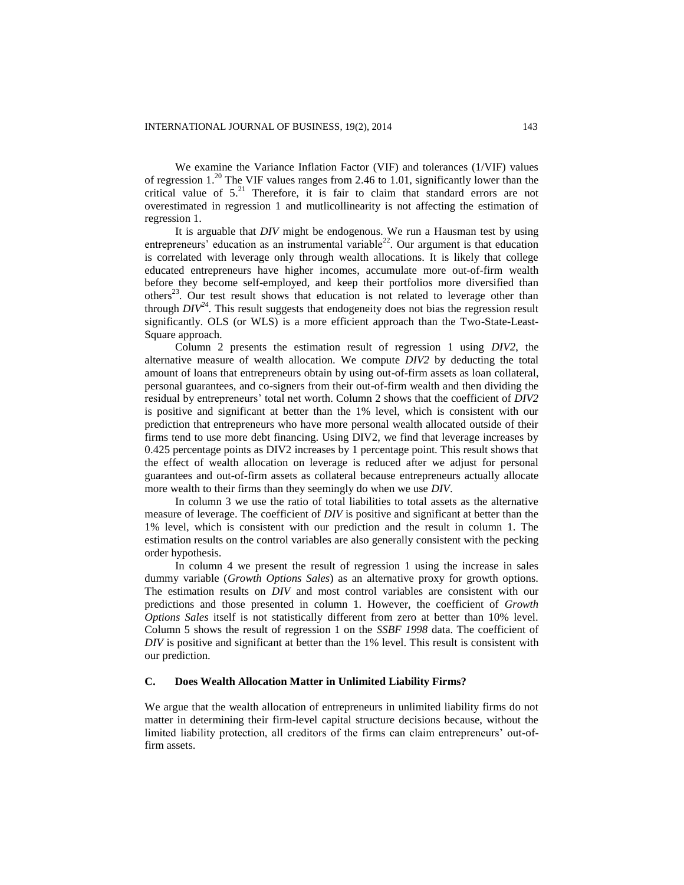We examine the Variance Inflation Factor (VIF) and tolerances (1/VIF) values of regression  $1.^{20}$  The VIF values ranges from 2.46 to 1.01, significantly lower than the critical value of 5. <sup>21</sup> Therefore, it is fair to claim that standard errors are not overestimated in regression 1 and mutlicollinearity is not affecting the estimation of regression 1.

It is arguable that *DIV* might be endogenous. We run a Hausman test by using entrepreneurs' education as an instrumental variable<sup>22</sup>. Our argument is that education is correlated with leverage only through wealth allocations. It is likely that college educated entrepreneurs have higher incomes, accumulate more out-of-firm wealth before they become self-employed, and keep their portfolios more diversified than others<sup>23</sup>. Our test result shows that education is not related to leverage other than through  $DIV^{24}$ . This result suggests that endogeneity does not bias the regression result significantly. OLS (or WLS) is a more efficient approach than the Two-State-Least-Square approach.

Column 2 presents the estimation result of regression 1 using *DIV2*, the alternative measure of wealth allocation. We compute *DIV2* by deducting the total amount of loans that entrepreneurs obtain by using out-of-firm assets as loan collateral, personal guarantees, and co-signers from their out-of-firm wealth and then dividing the residual by entrepreneurs' total net worth. Column 2 shows that the coefficient of *DIV2* is positive and significant at better than the 1% level, which is consistent with our prediction that entrepreneurs who have more personal wealth allocated outside of their firms tend to use more debt financing. Using DIV2, we find that leverage increases by 0.425 percentage points as DIV2 increases by 1 percentage point. This result shows that the effect of wealth allocation on leverage is reduced after we adjust for personal guarantees and out-of-firm assets as collateral because entrepreneurs actually allocate more wealth to their firms than they seemingly do when we use *DIV*.

In column 3 we use the ratio of total liabilities to total assets as the alternative measure of leverage. The coefficient of *DIV* is positive and significant at better than the 1% level, which is consistent with our prediction and the result in column 1. The estimation results on the control variables are also generally consistent with the pecking order hypothesis.

In column 4 we present the result of regression 1 using the increase in sales dummy variable (*Growth Options Sales*) as an alternative proxy for growth options. The estimation results on *DIV* and most control variables are consistent with our predictions and those presented in column 1. However, the coefficient of *Growth Options Sales* itself is not statistically different from zero at better than 10% level. Column 5 shows the result of regression 1 on the *SSBF 1998* data. The coefficient of *DIV* is positive and significant at better than the 1% level. This result is consistent with our prediction.

# **C. Does Wealth Allocation Matter in Unlimited Liability Firms?**

We argue that the wealth allocation of entrepreneurs in unlimited liability firms do not matter in determining their firm-level capital structure decisions because, without the limited liability protection, all creditors of the firms can claim entrepreneurs' out-offirm assets.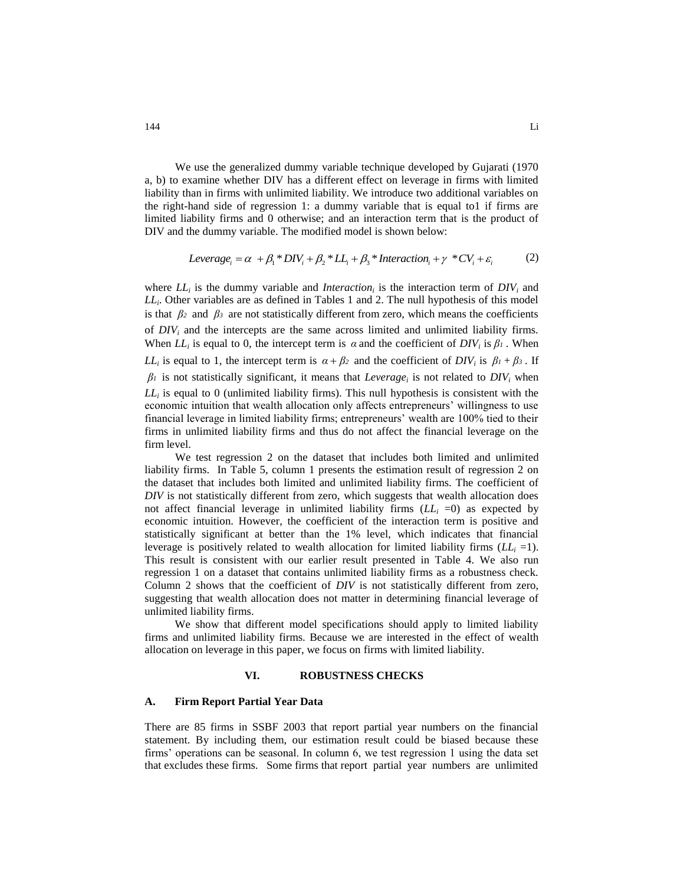We use the generalized dummy variable technique developed by Gujarati (1970 a, b) to examine whether DIV has a different effect on leverage in firms with limited liability than in firms with unlimited liability. We introduce two additional variables on the right-hand side of regression 1: a dummy variable that is equal to1 if firms are limited liability firms and 0 otherwise; and an interaction term that is the product of In the dummy variable. The modified model is shown below:<br> *Leverage*<sub>*i*</sub> =  $\alpha + \beta_1 * DIV_i + \beta_2 * LI_i + \beta_3 * \text{Interaction}_i + \gamma * CV_i + \varepsilon_i$  (2)

$$
Leverage_i = \alpha + \beta_1 * DIV_i + \beta_2 * LL_i + \beta_3 * Intersection_i + \gamma * CV_i + \varepsilon_i
$$
 (2)

where  $LL_i$  is the dummy variable and *Interaction*<sub>*i*</sub> is the interaction term of  $DIV_i$  and *LL<sup>i</sup>* . Other variables are as defined in Tables 1 and 2. The null hypothesis of this model is that  $\beta_2$  and  $\beta_3$  are not statistically different from zero, which means the coefficients of *DIV<sup>i</sup>* and the intercepts are the same across limited and unlimited liability firms. When  $LL_i$  is equal to 0, the intercept term is  $\alpha$  and the coefficient of  $DIV_i$  is  $\beta_i$ . When *LL*<sup>*i*</sup> is equal to 1, the intercept term is  $\alpha + \beta_2$  and the coefficient of *DIV<sub>i</sub>* is  $\beta_1 + \beta_3$ . If  $\beta$ <sup>*i*</sup> is not statistically significant, it means that *Leverage<sub>i</sub>* is not related to *DIV<sub>i</sub>* when *LL<sup>i</sup>* is equal to 0 (unlimited liability firms). This null hypothesis is consistent with the economic intuition that wealth allocation only affects entrepreneurs' willingness to use financial leverage in limited liability firms; entrepreneurs' wealth are 100% tied to their firms in unlimited liability firms and thus do not affect the financial leverage on the firm level.

We test regression 2 on the dataset that includes both limited and unlimited liability firms. In Table 5, column 1 presents the estimation result of regression 2 on the dataset that includes both limited and unlimited liability firms. The coefficient of *DIV* is not statistically different from zero, which suggests that wealth allocation does not affect financial leverage in unlimited liability firms  $(LL_i = 0)$  as expected by economic intuition. However, the coefficient of the interaction term is positive and statistically significant at better than the 1% level, which indicates that financial leverage is positively related to wealth allocation for limited liability firms  $(LL<sub>i</sub> = 1)$ . This result is consistent with our earlier result presented in Table 4. We also run regression 1 on a dataset that contains unlimited liability firms as a robustness check. Column 2 shows that the coefficient of *DIV* is not statistically different from zero, suggesting that wealth allocation does not matter in determining financial leverage of unlimited liability firms.

We show that different model specifications should apply to limited liability firms and unlimited liability firms. Because we are interested in the effect of wealth allocation on leverage in this paper, we focus on firms with limited liability.

## **VI. ROBUSTNESS CHECKS**

#### **A. Firm Report Partial Year Data**

There are 85 firms in SSBF 2003 that report partial year numbers on the financial statement. By including them, our estimation result could be biased because these firms' operations can be seasonal. In column 6, we test regression 1 using the data set that excludes these firms. Some firms that report partial year numbers are unlimited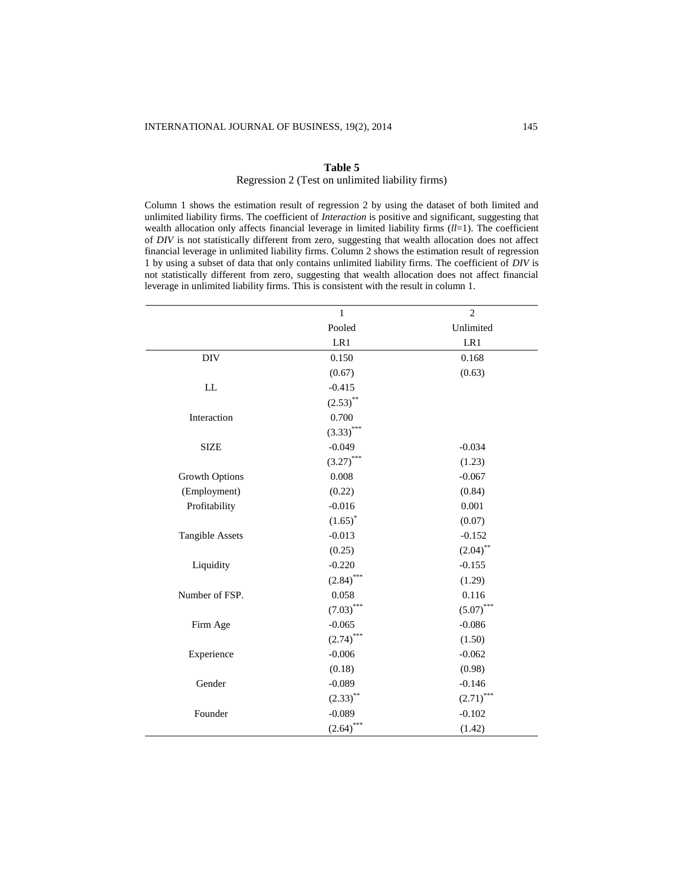#### **Table 5**

# Regression 2 (Test on unlimited liability firms)

Column 1 shows the estimation result of regression 2 by using the dataset of both limited and unlimited liability firms. The coefficient of *Interaction* is positive and significant, suggesting that wealth allocation only affects financial leverage in limited liability firms (*ll*=1). The coefficient of *DIV* is not statistically different from zero, suggesting that wealth allocation does not affect financial leverage in unlimited liability firms. Column 2 shows the estimation result of regression 1 by using a subset of data that only contains unlimited liability firms. The coefficient of *DIV* is not statistically different from zero, suggesting that wealth allocation does not affect financial leverage in unlimited liability firms. This is consistent with the result in column 1.

|                        | 1            | $\overline{2}$ |
|------------------------|--------------|----------------|
|                        | Pooled       | Unlimited      |
|                        | LR1          | LR1            |
| $\rm{DIV}$             | 0.150        | 0.168          |
|                        | (0.67)       | (0.63)         |
| LL                     | $-0.415$     |                |
|                        | $(2.53)$ **  |                |
| Interaction            | 0.700        |                |
|                        | $(3.33)$ *** |                |
| <b>SIZE</b>            | $-0.049$     | $-0.034$       |
|                        | $(3.27)$ *** | (1.23)         |
| <b>Growth Options</b>  | 0.008        | $-0.067$       |
| (Employment)           | (0.22)       | (0.84)         |
| Profitability          | $-0.016$     | 0.001          |
|                        | $(1.65)^*$   | (0.07)         |
| <b>Tangible Assets</b> | $-0.013$     | $-0.152$       |
|                        | (0.25)       | $(2.04)$ **    |
| Liquidity              | $-0.220$     | $-0.155$       |
|                        | $(2.84)$ *** | (1.29)         |
| Number of FSP.         | 0.058        | 0.116          |
|                        | $(7.03)$ *** | $(5.07)$ ***   |
| Firm Age               | $-0.065$     | $-0.086$       |
|                        | $(2.74)$ *** | (1.50)         |
| Experience             | $-0.006$     | $-0.062$       |
|                        | (0.18)       | (0.98)         |
| Gender                 | $-0.089$     | $-0.146$       |
|                        | $(2.33)$ **  | $(2.71)$ ***   |
| Founder                | $-0.089$     | $-0.102$       |
|                        | $(2.64)$ *** | (1.42)         |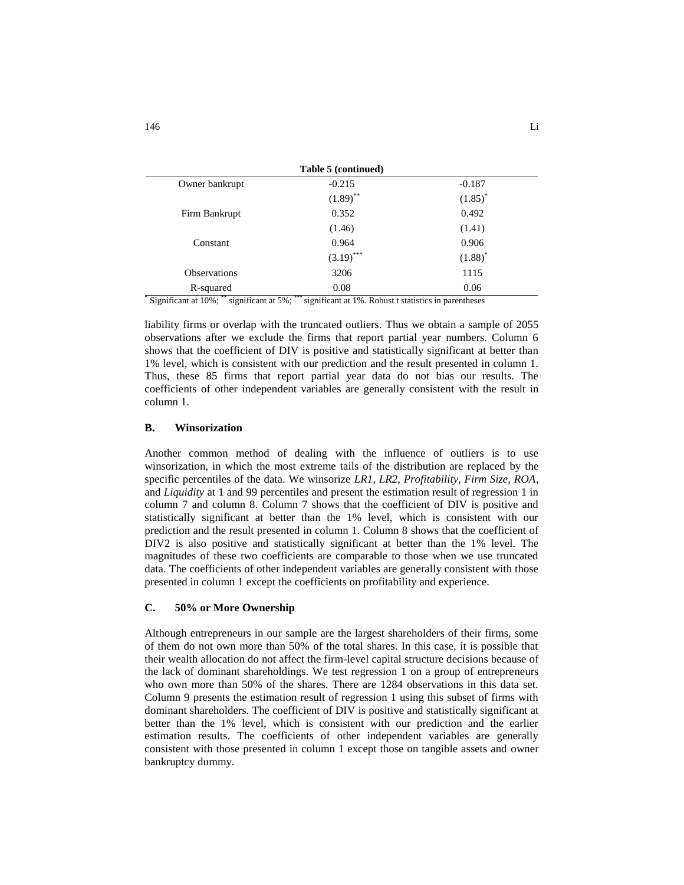| Table 5 (continued)     |                         |
|-------------------------|-------------------------|
| $-0.215$                | $-0.187$                |
| $(1.89)$ **             | $(1.85)^*$              |
| 0.352                   | 0.492                   |
| (1.46)                  | (1.41)                  |
| 0.964                   | 0.906                   |
| $(3.19)$ <sup>***</sup> | $(1.88)^*$              |
| 3206                    | 1115                    |
| 0.08                    | 0.06                    |
|                         | *** .<br>$-1$<br>$\sim$ |

\* Significant at 10%; \*\* significant at 5%; \*\*\* significant at 1%. Robust t statistics in parentheses

liability firms or overlap with the truncated outliers. Thus we obtain a sample of 2055 observations after we exclude the firms that report partial year numbers. Column 6 shows that the coefficient of DIV is positive and statistically significant at better than 1% level, which is consistent with our prediction and the result presented in column 1. Thus, these 85 firms that report partial year data do not bias our results. The coefficients of other independent variables are generally consistent with the result in column 1.

#### **B. Winsorization**

Another common method of dealing with the influence of outliers is to use winsorization, in which the most extreme tails of the distribution are replaced by the specific percentiles of the data. We winsorize *LR1, LR2, Profitability, Firm Size, ROA*, and *Liquidity* at 1 and 99 percentiles and present the estimation result of regression 1 in column 7 and column 8. Column 7 shows that the coefficient of DIV is positive and statistically significant at better than the 1% level, which is consistent with our prediction and the result presented in column 1. Column 8 shows that the coefficient of DIV2 is also positive and statistically significant at better than the 1% level. The magnitudes of these two coefficients are comparable to those when we use truncated data. The coefficients of other independent variables are generally consistent with those presented in column 1 except the coefficients on profitability and experience.

# **C. 50% or More Ownership**

Although entrepreneurs in our sample are the largest shareholders of their firms, some of them do not own more than 50% of the total shares. In this case, it is possible that their wealth allocation do not affect the firm-level capital structure decisions because of the lack of dominant shareholdings. We test regression 1 on a group of entrepreneurs who own more than 50% of the shares. There are 1284 observations in this data set. Column 9 presents the estimation result of regression 1 using this subset of firms with dominant shareholders. The coefficient of DIV is positive and statistically significant at better than the 1% level, which is consistent with our prediction and the earlier estimation results. The coefficients of other independent variables are generally consistent with those presented in column 1 except those on tangible assets and owner bankruptcy dummy.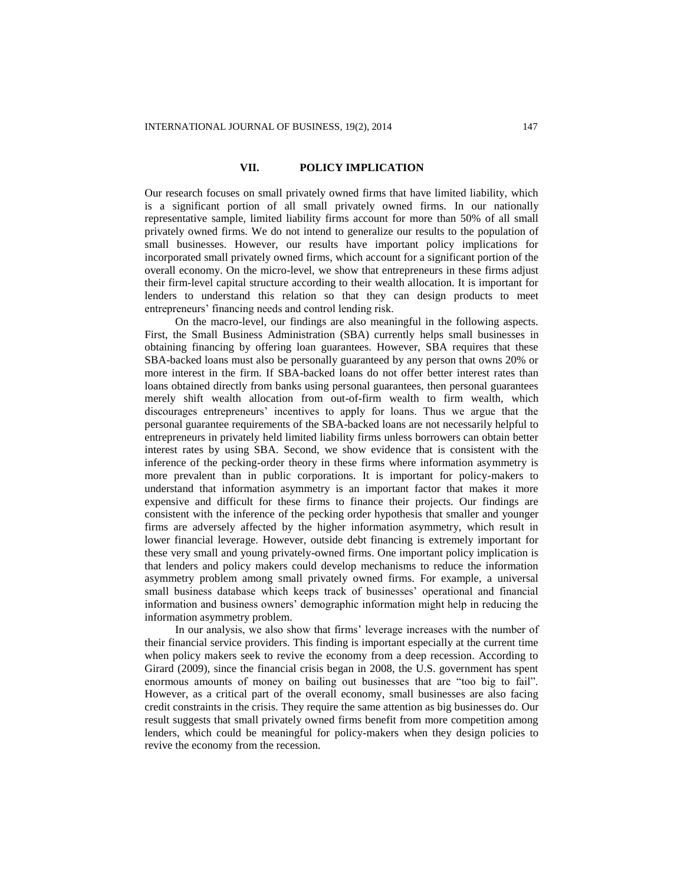### **VII. POLICY IMPLICATION**

Our research focuses on small privately owned firms that have limited liability, which is a significant portion of all small privately owned firms. In our nationally representative sample, limited liability firms account for more than 50% of all small privately owned firms. We do not intend to generalize our results to the population of small businesses. However, our results have important policy implications for incorporated small privately owned firms, which account for a significant portion of the overall economy. On the micro-level, we show that entrepreneurs in these firms adjust their firm-level capital structure according to their wealth allocation. It is important for lenders to understand this relation so that they can design products to meet entrepreneurs' financing needs and control lending risk.

On the macro-level, our findings are also meaningful in the following aspects. First, the Small Business Administration (SBA) currently helps small businesses in obtaining financing by offering loan guarantees. However, SBA requires that these SBA-backed loans must also be personally guaranteed by any person that owns 20% or more interest in the firm. If SBA-backed loans do not offer better interest rates than loans obtained directly from banks using personal guarantees, then personal guarantees merely shift wealth allocation from out-of-firm wealth to firm wealth, which discourages entrepreneurs' incentives to apply for loans. Thus we argue that the personal guarantee requirements of the SBA-backed loans are not necessarily helpful to entrepreneurs in privately held limited liability firms unless borrowers can obtain better interest rates by using SBA. Second, we show evidence that is consistent with the inference of the pecking-order theory in these firms where information asymmetry is more prevalent than in public corporations. It is important for policy-makers to understand that information asymmetry is an important factor that makes it more expensive and difficult for these firms to finance their projects. Our findings are consistent with the inference of the pecking order hypothesis that smaller and younger firms are adversely affected by the higher information asymmetry, which result in lower financial leverage. However, outside debt financing is extremely important for these very small and young privately-owned firms. One important policy implication is that lenders and policy makers could develop mechanisms to reduce the information asymmetry problem among small privately owned firms. For example, a universal small business database which keeps track of businesses' operational and financial information and business owners' demographic information might help in reducing the information asymmetry problem.

In our analysis, we also show that firms' leverage increases with the number of their financial service providers. This finding is important especially at the current time when policy makers seek to revive the economy from a deep recession. According to Girard (2009), since the financial crisis began in 2008, the U.S. government has spent enormous amounts of money on bailing out businesses that are "too big to fail". However, as a critical part of the overall economy, small businesses are also facing credit constraints in the crisis. They require the same attention as big businesses do. Our result suggests that small privately owned firms benefit from more competition among lenders, which could be meaningful for policy-makers when they design policies to revive the economy from the recession.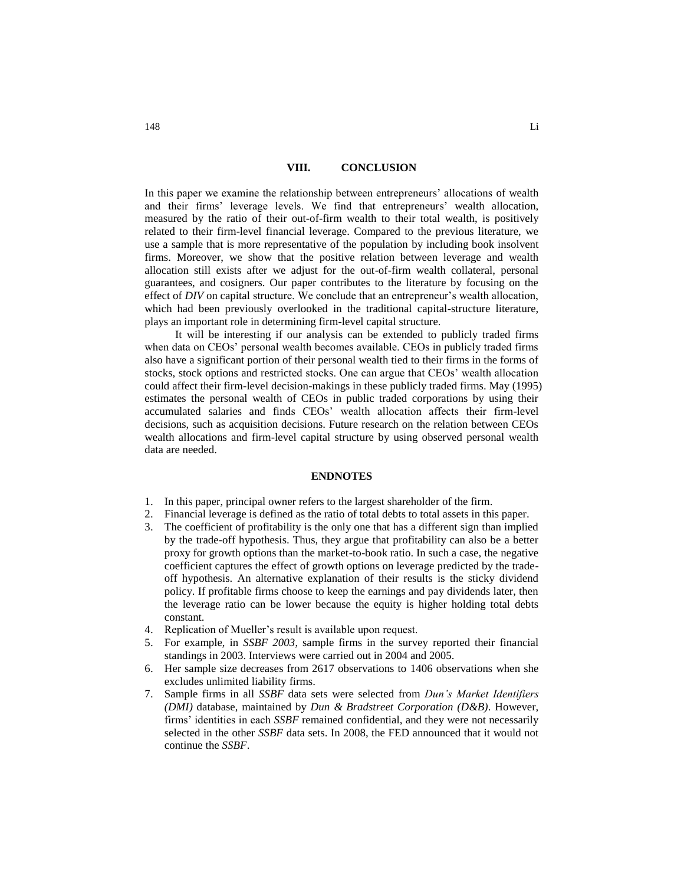#### **VIII. CONCLUSION**

In this paper we examine the relationship between entrepreneurs' allocations of wealth and their firms' leverage levels. We find that entrepreneurs' wealth allocation, measured by the ratio of their out-of-firm wealth to their total wealth, is positively related to their firm-level financial leverage. Compared to the previous literature, we use a sample that is more representative of the population by including book insolvent firms. Moreover, we show that the positive relation between leverage and wealth allocation still exists after we adjust for the out-of-firm wealth collateral, personal guarantees, and cosigners. Our paper contributes to the literature by focusing on the effect of *DIV* on capital structure. We conclude that an entrepreneur's wealth allocation, which had been previously overlooked in the traditional capital-structure literature, plays an important role in determining firm-level capital structure.

It will be interesting if our analysis can be extended to publicly traded firms when data on CEOs' personal wealth becomes available. CEOs in publicly traded firms also have a significant portion of their personal wealth tied to their firms in the forms of stocks, stock options and restricted stocks. One can argue that CEOs' wealth allocation could affect their firm-level decision-makings in these publicly traded firms. May (1995) estimates the personal wealth of CEOs in public traded corporations by using their accumulated salaries and finds CEOs' wealth allocation affects their firm-level decisions, such as acquisition decisions. Future research on the relation between CEOs wealth allocations and firm-level capital structure by using observed personal wealth data are needed.

#### **ENDNOTES**

- 1. In this paper, principal owner refers to the largest shareholder of the firm.
- 2. Financial leverage is defined as the ratio of total debts to total assets in this paper.
- 3. The coefficient of profitability is the only one that has a different sign than implied by the trade-off hypothesis. Thus, they argue that profitability can also be a better proxy for growth options than the market-to-book ratio. In such a case, the negative coefficient captures the effect of growth options on leverage predicted by the tradeoff hypothesis. An alternative explanation of their results is the sticky dividend policy. If profitable firms choose to keep the earnings and pay dividends later, then the leverage ratio can be lower because the equity is higher holding total debts constant.
- 4. Replication of Mueller's result is available upon request.
- 5. For example, in *SSBF 2003*, sample firms in the survey reported their financial standings in 2003. Interviews were carried out in 2004 and 2005.
- 6. Her sample size decreases from 2617 observations to 1406 observations when she excludes unlimited liability firms.
- 7. Sample firms in all *SSBF* data sets were selected from *Dun's Market Identifiers (DMI)* database, maintained by *Dun & Bradstreet Corporation (D&B)*. However, firms' identities in each *SSBF* remained confidential, and they were not necessarily selected in the other *SSBF* data sets. In 2008, the FED announced that it would not continue the *SSBF*.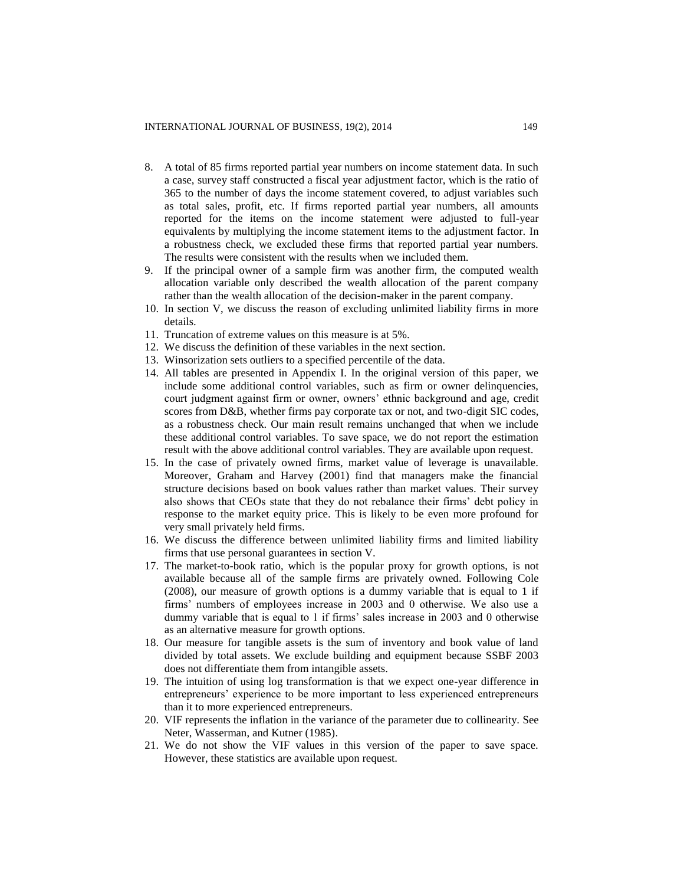- 8. A total of 85 firms reported partial year numbers on income statement data. In such a case, survey staff constructed a fiscal year adjustment factor, which is the ratio of 365 to the number of days the income statement covered, to adjust variables such as total sales, profit, etc. If firms reported partial year numbers, all amounts reported for the items on the income statement were adjusted to full-year equivalents by multiplying the income statement items to the adjustment factor. In a robustness check, we excluded these firms that reported partial year numbers. The results were consistent with the results when we included them.
- 9. If the principal owner of a sample firm was another firm, the computed wealth allocation variable only described the wealth allocation of the parent company rather than the wealth allocation of the decision-maker in the parent company.
- 10. In section V, we discuss the reason of excluding unlimited liability firms in more details.
- 11. Truncation of extreme values on this measure is at 5%.
- 12. We discuss the definition of these variables in the next section.
- 13. Winsorization sets outliers to a specified percentile of the data.
- 14. All tables are presented in Appendix I. In the original version of this paper, we include some additional control variables, such as firm or owner delinquencies, court judgment against firm or owner, owners' ethnic background and age, credit scores from D&B, whether firms pay corporate tax or not, and two-digit SIC codes, as a robustness check. Our main result remains unchanged that when we include these additional control variables. To save space, we do not report the estimation result with the above additional control variables. They are available upon request.
- 15. In the case of privately owned firms, market value of leverage is unavailable. Moreover, Graham and Harvey (2001) find that managers make the financial structure decisions based on book values rather than market values. Their survey also shows that CEOs state that they do not rebalance their firms' debt policy in response to the market equity price. This is likely to be even more profound for very small privately held firms.
- 16. We discuss the difference between unlimited liability firms and limited liability firms that use personal guarantees in section V.
- 17. The market-to-book ratio, which is the popular proxy for growth options, is not available because all of the sample firms are privately owned. Following Cole (2008), our measure of growth options is a dummy variable that is equal to 1 if firms' numbers of employees increase in 2003 and 0 otherwise. We also use a dummy variable that is equal to 1 if firms' sales increase in 2003 and 0 otherwise as an alternative measure for growth options.
- 18. Our measure for tangible assets is the sum of inventory and book value of land divided by total assets. We exclude building and equipment because SSBF 2003 does not differentiate them from intangible assets.
- 19. The intuition of using log transformation is that we expect one-year difference in entrepreneurs' experience to be more important to less experienced entrepreneurs than it to more experienced entrepreneurs.
- 20. VIF represents the inflation in the variance of the parameter due to collinearity. See Neter, Wasserman, and Kutner (1985).
- 21. We do not show the VIF values in this version of the paper to save space. However, these statistics are available upon request.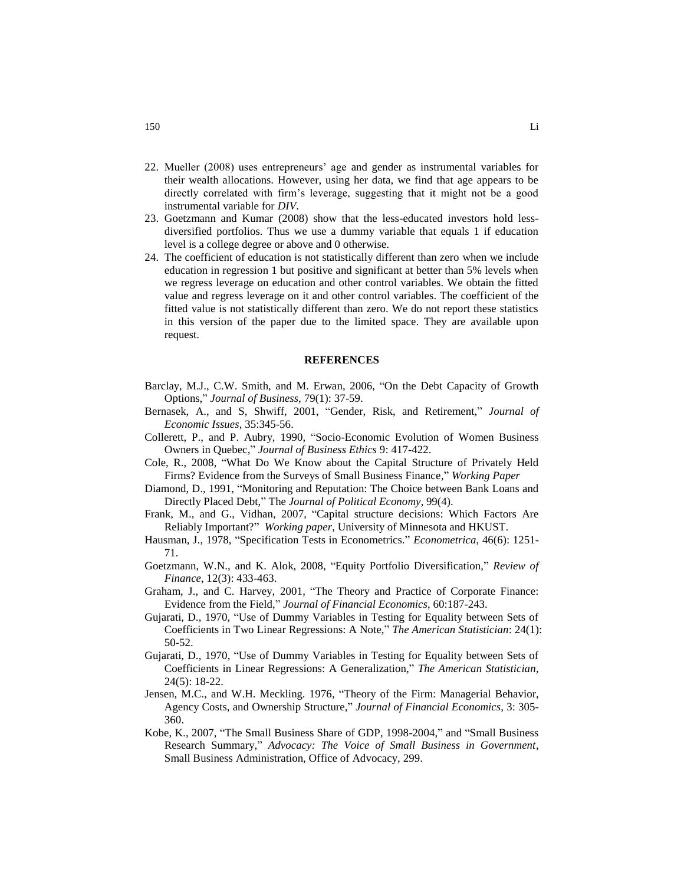- 22. Mueller (2008) uses entrepreneurs' age and gender as instrumental variables for their wealth allocations. However, using her data, we find that age appears to be directly correlated with firm's leverage, suggesting that it might not be a good instrumental variable for *DIV*.
- 23. Goetzmann and Kumar (2008) show that the less-educated investors hold lessdiversified portfolios. Thus we use a dummy variable that equals 1 if education level is a college degree or above and 0 otherwise.
- 24. The coefficient of education is not statistically different than zero when we include education in regression 1 but positive and significant at better than 5% levels when we regress leverage on education and other control variables. We obtain the fitted value and regress leverage on it and other control variables. The coefficient of the fitted value is not statistically different than zero. We do not report these statistics in this version of the paper due to the limited space. They are available upon request.

#### **REFERENCES**

- Barclay, M.J., C.W. Smith, and M. Erwan, 2006, "On the Debt Capacity of Growth Options," *Journal of Business*, 79(1): 37-59.
- Bernasek, A., and S, Shwiff, 2001, "Gender, Risk, and Retirement," *Journal of Economic Issues*, 35:345-56.
- Collerett, P., and P. Aubry, 1990, "Socio-Economic Evolution of Women Business Owners in Quebec," *Journal of Business Ethics* 9: 417-422.
- Cole, R., 2008, "What Do We Know about the Capital Structure of Privately Held Firms? Evidence from the Surveys of Small Business Finance," *Working Paper*
- Diamond, D., 1991, "Monitoring and Reputation: The Choice between Bank Loans and Directly Placed Debt," The *Journal of Political Economy*, 99(4).
- Frank, M., and G., Vidhan, 2007, "Capital structure decisions: Which Factors Are Reliably Important?" *Working paper*, University of Minnesota and HKUST.
- Hausman, J., 1978, "Specification Tests in Econometrics." *Econometrica*, 46(6): 1251- 71.
- Goetzmann, W.N., and K. Alok, 2008, "Equity Portfolio Diversification," *Review of Finance*, 12(3): 433-463.
- Graham, J., and C. Harvey, 2001, "The Theory and Practice of Corporate Finance: Evidence from the Field," *Journal of Financial Economics*, 60:187-243.
- Gujarati, D., 1970, "Use of Dummy Variables in Testing for Equality between Sets of Coefficients in Two Linear Regressions: A Note," *The American Statistician*: 24(1): 50-52.
- Gujarati, D., 1970, "Use of Dummy Variables in Testing for Equality between Sets of Coefficients in Linear Regressions: A Generalization," *The American Statistician*, 24(5): 18-22.
- Jensen, M.C., and W.H. Meckling. 1976, "Theory of the Firm: Managerial Behavior, Agency Costs, and Ownership Structure," *Journal of Financial Economics*, 3: 305- 360.
- Kobe, K., 2007, "The Small Business Share of GDP, 1998-2004," and "Small Business Research Summary," *Advocacy: The Voice of Small Business in Government*, Small Business Administration, Office of Advocacy, 299.